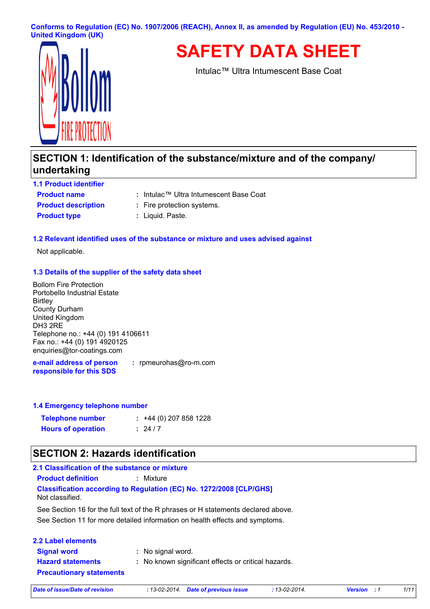**Conforms to Regulation (EC) No. 1907/2006 (REACH), Annex II, as amended by Regulation (EU) No. 453/2010 - United Kingdom (UK)**



**SAFETY DATA SHEET**

Intulac™ Ultra Intumescent Base Coat

# **SECTION 1: Identification of the substance/mixture and of the company/ undertaking**

**Product name 1.1 Product identifier Product type :** Liquid. Paste.

- Intulac™ Ultra Intumescent Base Coat **:**
- **Product description :** Fire protection systems.
	-

#### **1.2 Relevant identified uses of the substance or mixture and uses advised against**

Not applicable.

#### **1.3 Details of the supplier of the safety data sheet**

Bollom Fire Protection Portobello Industrial Estate **Birtley** County Durham United Kingdom DH3 2RE Telephone no.: +44 (0) 191 4106611 Fax no.: +44 (0) 191 4920125 enquiries@tor-coatings.com

**e-mail address of person responsible for this SDS :** rpmeurohas@ro-m.com

#### **1.4 Emergency telephone number**

| <b>Telephone number</b>   | $: +44(0)$ 207 858 1228 |
|---------------------------|-------------------------|
| <b>Hours of operation</b> | : 24/7                  |

## **SECTION 2: Hazards identification**

| 2.1 Classification of the substance or mixture |                                                                                   |  |
|------------------------------------------------|-----------------------------------------------------------------------------------|--|
| <b>Product definition</b>                      | : Mixture                                                                         |  |
| Not classified.                                | <b>Classification according to Regulation (EC) No. 1272/2008 [CLP/GHS]</b>        |  |
|                                                | See Section 16 for the full text of the R phrases or H statements declared above. |  |
|                                                | See Section 11 for more detailed information on health effects and symptoms.      |  |
| <b>2.2 Label elements</b>                      |                                                                                   |  |
| <b>Signal word</b>                             | : No signal word.                                                                 |  |
| <b>Hazard statements</b>                       | : No known significant effects or critical hazards.                               |  |

**Precautionary statements**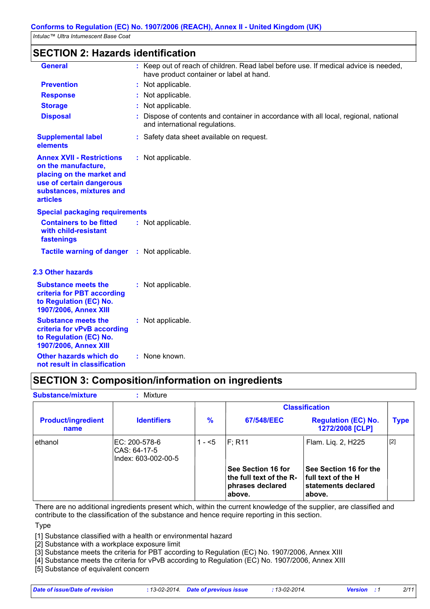## **SECTION 2: Hazards identification**

| <b>General</b>                                                                                                                                                  | : Keep out of reach of children. Read label before use. If medical advice is needed,<br>have product container or label at hand. |
|-----------------------------------------------------------------------------------------------------------------------------------------------------------------|----------------------------------------------------------------------------------------------------------------------------------|
| <b>Prevention</b>                                                                                                                                               | Not applicable.                                                                                                                  |
| <b>Response</b>                                                                                                                                                 | Not applicable.                                                                                                                  |
| <b>Storage</b>                                                                                                                                                  | Not applicable.                                                                                                                  |
| <b>Disposal</b>                                                                                                                                                 | Dispose of contents and container in accordance with all local, regional, national<br>and international regulations.             |
| <b>Supplemental label</b><br>elements                                                                                                                           | : Safety data sheet available on request.                                                                                        |
| <b>Annex XVII - Restrictions</b><br>on the manufacture,<br>placing on the market and<br>use of certain dangerous<br>substances, mixtures and<br><b>articles</b> | : Not applicable.                                                                                                                |
| <b>Special packaging requirements</b>                                                                                                                           |                                                                                                                                  |
| <b>Containers to be fitted</b><br>with child-resistant<br>fastenings                                                                                            | : Not applicable.                                                                                                                |
| <b>Tactile warning of danger</b>                                                                                                                                | : Not applicable.                                                                                                                |
| <b>2.3 Other hazards</b>                                                                                                                                        |                                                                                                                                  |
| <b>Substance meets the</b><br>criteria for PBT according<br>to Regulation (EC) No.<br>1907/2006, Annex XIII                                                     | : Not applicable.                                                                                                                |
| <b>Substance meets the</b><br>criteria for vPvB according<br>to Regulation (EC) No.<br>1907/2006, Annex XIII                                                    | : Not applicable.                                                                                                                |
| Other hazards which do<br>not result in classification                                                                                                          | : None known.                                                                                                                    |

# **SECTION 3: Composition/information on ingredients**

| <b>Substance/mixture</b>          | : Mixture                                             |         |                                                                                    |                                                                                      |             |
|-----------------------------------|-------------------------------------------------------|---------|------------------------------------------------------------------------------------|--------------------------------------------------------------------------------------|-------------|
|                                   |                                                       |         |                                                                                    | <b>Classification</b>                                                                |             |
| <b>Product/ingredient</b><br>name | <b>Identifiers</b>                                    | %       | <b>67/548/EEC</b>                                                                  | <b>Regulation (EC) No.</b><br>1272/2008 [CLP]                                        | <b>Type</b> |
| ethanol                           | IEC: 200-578-6<br>CAS: 64-17-5<br>Index: 603-002-00-5 | $1 - 5$ | $F$ ; R11                                                                          | Flam. Liq. 2, H225                                                                   | $[2]$       |
|                                   |                                                       |         | <b>See Section 16 for</b><br>the full text of the R-<br>phrases declared<br>above. | See Section 16 for the<br><b>full text of the H</b><br>statements declared<br>above. |             |

There are no additional ingredients present which, within the current knowledge of the supplier, are classified and contribute to the classification of the substance and hence require reporting in this section.

Type

[1] Substance classified with a health or environmental hazard

[2] Substance with a workplace exposure limit

[3] Substance meets the criteria for PBT according to Regulation (EC) No. 1907/2006, Annex XIII

[4] Substance meets the criteria for vPvB according to Regulation (EC) No. 1907/2006, Annex XIII

[5] Substance of equivalent concern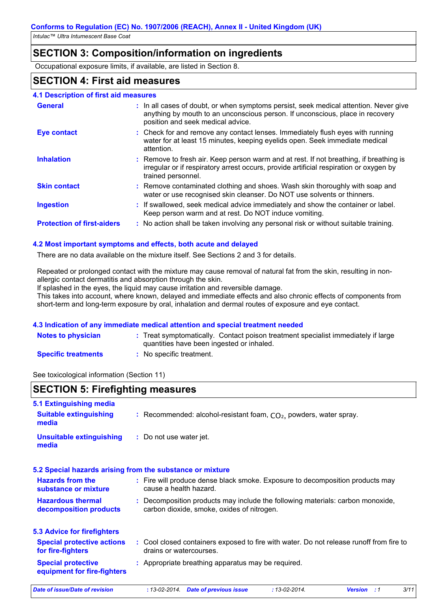## **SECTION 3: Composition/information on ingredients**

Occupational exposure limits, if available, are listed in Section 8.

## **SECTION 4: First aid measures**

| 4.1 Description of first aid measures |  |
|---------------------------------------|--|
|---------------------------------------|--|

| <b>General</b>                    | : In all cases of doubt, or when symptoms persist, seek medical attention. Never give<br>anything by mouth to an unconscious person. If unconscious, place in recovery<br>position and seek medical advice. |
|-----------------------------------|-------------------------------------------------------------------------------------------------------------------------------------------------------------------------------------------------------------|
| <b>Eye contact</b>                | : Check for and remove any contact lenses. Immediately flush eyes with running<br>water for at least 15 minutes, keeping eyelids open. Seek immediate medical<br>attention.                                 |
| <b>Inhalation</b>                 | : Remove to fresh air. Keep person warm and at rest. If not breathing, if breathing is<br>irregular or if respiratory arrest occurs, provide artificial respiration or oxygen by<br>trained personnel.      |
| <b>Skin contact</b>               | : Remove contaminated clothing and shoes. Wash skin thoroughly with soap and<br>water or use recognised skin cleanser. Do NOT use solvents or thinners.                                                     |
| <b>Ingestion</b>                  | : If swallowed, seek medical advice immediately and show the container or label.<br>Keep person warm and at rest. Do NOT induce vomiting.                                                                   |
| <b>Protection of first-aiders</b> | : No action shall be taken involving any personal risk or without suitable training.                                                                                                                        |

## **4.2 Most important symptoms and effects, both acute and delayed**

There are no data available on the mixture itself. See Sections 2 and 3 for details.

Repeated or prolonged contact with the mixture may cause removal of natural fat from the skin, resulting in nonallergic contact dermatitis and absorption through the skin.

If splashed in the eyes, the liquid may cause irritation and reversible damage.

This takes into account, where known, delayed and immediate effects and also chronic effects of components from short-term and long-term exposure by oral, inhalation and dermal routes of exposure and eye contact.

#### **4.3 Indication of any immediate medical attention and special treatment needed**

| Notes to physician         | : Treat symptomatically. Contact poison treatment specialist immediately if large<br>quantities have been ingested or inhaled. |
|----------------------------|--------------------------------------------------------------------------------------------------------------------------------|
| <b>Specific treatments</b> | No specific treatment.                                                                                                         |

See toxicological information (Section 11)

## **SECTION 5: Firefighting measures**

| 5.1 Extinguishing media                                   |                                                                                                                              |  |  |  |  |
|-----------------------------------------------------------|------------------------------------------------------------------------------------------------------------------------------|--|--|--|--|
| <b>Suitable extinguishing</b><br>media                    | : Recommended: alcohol-resistant foam, $CO2$ , powders, water spray.                                                         |  |  |  |  |
| <b>Unsuitable extinguishing</b><br>media                  | : Do not use water jet.                                                                                                      |  |  |  |  |
| 5.2 Special hazards arising from the substance or mixture |                                                                                                                              |  |  |  |  |
| <b>Hazards from the</b><br>substance or mixture           | : Fire will produce dense black smoke. Exposure to decomposition products may<br>cause a health hazard.                      |  |  |  |  |
| <b>Hazardous thermal</b><br>decomposition products        | : Decomposition products may include the following materials: carbon monoxide,<br>carbon dioxide, smoke, oxides of nitrogen. |  |  |  |  |
| <b>5.3 Advice for firefighters</b>                        |                                                                                                                              |  |  |  |  |
| <b>Special protective actions</b><br>for fire-fighters    | : Cool closed containers exposed to fire with water. Do not release runoff from fire to<br>drains or watercourses.           |  |  |  |  |
| <b>Special protective</b><br>equipment for fire-fighters  | : Appropriate breathing apparatus may be required.                                                                           |  |  |  |  |
| Date of issue/Date of revision                            | 3/11<br>$: 13 - 02 - 2014.$<br><b>Date of previous issue</b><br>$: 13 - 02 - 2014.$<br><b>Version</b><br>:1                  |  |  |  |  |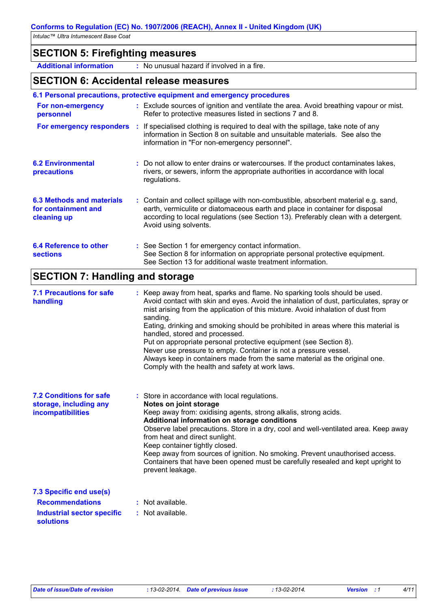# **SECTION 5: Firefighting measures**

**Additional information :** No unusual hazard if involved in a fire.

## **SECTION 6: Accidental release measures**

|                                                                                      | 6.1 Personal precautions, protective equipment and emergency procedures                                                                                                                                                                                                                                                                                                                                                                                                                                                                                                                                                                                               |
|--------------------------------------------------------------------------------------|-----------------------------------------------------------------------------------------------------------------------------------------------------------------------------------------------------------------------------------------------------------------------------------------------------------------------------------------------------------------------------------------------------------------------------------------------------------------------------------------------------------------------------------------------------------------------------------------------------------------------------------------------------------------------|
| For non-emergency<br>personnel                                                       | : Exclude sources of ignition and ventilate the area. Avoid breathing vapour or mist.<br>Refer to protective measures listed in sections 7 and 8.                                                                                                                                                                                                                                                                                                                                                                                                                                                                                                                     |
|                                                                                      | For emergency responders : If specialised clothing is required to deal with the spillage, take note of any<br>information in Section 8 on suitable and unsuitable materials. See also the<br>information in "For non-emergency personnel".                                                                                                                                                                                                                                                                                                                                                                                                                            |
| <b>6.2 Environmental</b><br>precautions                                              | : Do not allow to enter drains or watercourses. If the product contaminates lakes,<br>rivers, or sewers, inform the appropriate authorities in accordance with local<br>regulations.                                                                                                                                                                                                                                                                                                                                                                                                                                                                                  |
| <b>6.3 Methods and materials</b><br>for containment and<br>cleaning up               | : Contain and collect spillage with non-combustible, absorbent material e.g. sand,<br>earth, vermiculite or diatomaceous earth and place in container for disposal<br>according to local regulations (see Section 13). Preferably clean with a detergent.<br>Avoid using solvents.                                                                                                                                                                                                                                                                                                                                                                                    |
| <b>6.4 Reference to other</b><br><b>sections</b>                                     | : See Section 1 for emergency contact information.<br>See Section 8 for information on appropriate personal protective equipment.<br>See Section 13 for additional waste treatment information.                                                                                                                                                                                                                                                                                                                                                                                                                                                                       |
| <b>SECTION 7: Handling and storage</b>                                               |                                                                                                                                                                                                                                                                                                                                                                                                                                                                                                                                                                                                                                                                       |
| <b>7.1 Precautions for safe</b><br>handling                                          | : Keep away from heat, sparks and flame. No sparking tools should be used.<br>Avoid contact with skin and eyes. Avoid the inhalation of dust, particulates, spray or<br>mist arising from the application of this mixture. Avoid inhalation of dust from<br>sanding.<br>Eating, drinking and smoking should be prohibited in areas where this material is<br>handled, stored and processed.<br>Put on appropriate personal protective equipment (see Section 8).<br>Never use pressure to empty. Container is not a pressure vessel.<br>Always keep in containers made from the same material as the original one.<br>Comply with the health and safety at work laws. |
| <b>7.2 Conditions for safe</b><br>storage, including any<br><b>incompatibilities</b> | : Store in accordance with local regulations.<br>Notes on joint storage<br>Keep away from: oxidising agents, strong alkalis, strong acids.                                                                                                                                                                                                                                                                                                                                                                                                                                                                                                                            |

away from: oxidising agents, strong alkalis, strong acids. **Additional information on storage conditions**

Observe label precautions. Store in a dry, cool and well-ventilated area. Keep away from heat and direct sunlight. Keep container tightly closed. Keep away from sources of ignition. No smoking. Prevent unauthorised access.

Containers that have been opened must be carefully resealed and kept upright to prevent leakage.

| 7.3 Specific end use(s)                 |                  |
|-----------------------------------------|------------------|
| <b>Recommendations</b>                  | : Not available. |
| Industrial sector specific<br>solutions | : Not available. |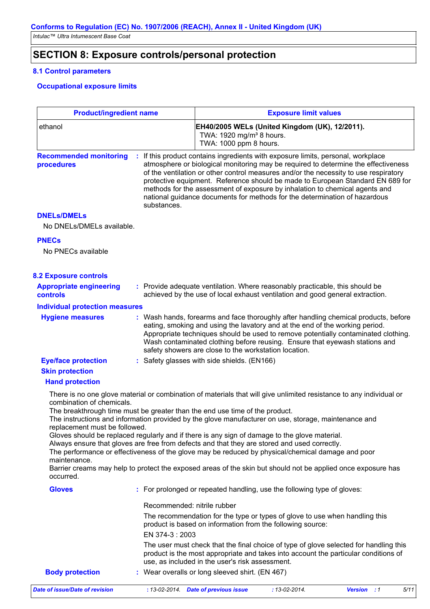# **SECTION 8: Exposure controls/personal protection**

## **8.1 Control parameters**

## **Occupational exposure limits**

| <b>Product/ingredient name</b>                                                                                                                                                                                                                                                                                                                                                                                                                                                                                                                                                                                                                                                                                                                                                                                              |                             | <b>Exposure limit values</b><br>EH40/2005 WELs (United Kingdom (UK), 12/2011).<br>TWA: 1920 mg/m <sup>3</sup> 8 hours.<br>TWA: 1000 ppm 8 hours.                                                                                                                                                                                                                                                                                                                                                            |                     |                    |      |  |
|-----------------------------------------------------------------------------------------------------------------------------------------------------------------------------------------------------------------------------------------------------------------------------------------------------------------------------------------------------------------------------------------------------------------------------------------------------------------------------------------------------------------------------------------------------------------------------------------------------------------------------------------------------------------------------------------------------------------------------------------------------------------------------------------------------------------------------|-----------------------------|-------------------------------------------------------------------------------------------------------------------------------------------------------------------------------------------------------------------------------------------------------------------------------------------------------------------------------------------------------------------------------------------------------------------------------------------------------------------------------------------------------------|---------------------|--------------------|------|--|
| ethanol                                                                                                                                                                                                                                                                                                                                                                                                                                                                                                                                                                                                                                                                                                                                                                                                                     |                             |                                                                                                                                                                                                                                                                                                                                                                                                                                                                                                             |                     |                    |      |  |
| <b>Recommended monitoring</b><br>procedures                                                                                                                                                                                                                                                                                                                                                                                                                                                                                                                                                                                                                                                                                                                                                                                 | substances.                 | If this product contains ingredients with exposure limits, personal, workplace<br>atmosphere or biological monitoring may be required to determine the effectiveness<br>of the ventilation or other control measures and/or the necessity to use respiratory<br>protective equipment. Reference should be made to European Standard EN 689 for<br>methods for the assessment of exposure by inhalation to chemical agents and<br>national guidance documents for methods for the determination of hazardous |                     |                    |      |  |
| <b>DNELs/DMELs</b><br>No DNELs/DMELs available.                                                                                                                                                                                                                                                                                                                                                                                                                                                                                                                                                                                                                                                                                                                                                                             |                             |                                                                                                                                                                                                                                                                                                                                                                                                                                                                                                             |                     |                    |      |  |
| <b>PNECs</b><br>No PNECs available                                                                                                                                                                                                                                                                                                                                                                                                                                                                                                                                                                                                                                                                                                                                                                                          |                             |                                                                                                                                                                                                                                                                                                                                                                                                                                                                                                             |                     |                    |      |  |
| <b>8.2 Exposure controls</b>                                                                                                                                                                                                                                                                                                                                                                                                                                                                                                                                                                                                                                                                                                                                                                                                |                             |                                                                                                                                                                                                                                                                                                                                                                                                                                                                                                             |                     |                    |      |  |
| <b>Appropriate engineering</b><br><b>controls</b>                                                                                                                                                                                                                                                                                                                                                                                                                                                                                                                                                                                                                                                                                                                                                                           |                             | : Provide adequate ventilation. Where reasonably practicable, this should be<br>achieved by the use of local exhaust ventilation and good general extraction.                                                                                                                                                                                                                                                                                                                                               |                     |                    |      |  |
| <b>Individual protection measures</b>                                                                                                                                                                                                                                                                                                                                                                                                                                                                                                                                                                                                                                                                                                                                                                                       |                             |                                                                                                                                                                                                                                                                                                                                                                                                                                                                                                             |                     |                    |      |  |
| <b>Hygiene measures</b>                                                                                                                                                                                                                                                                                                                                                                                                                                                                                                                                                                                                                                                                                                                                                                                                     |                             | : Wash hands, forearms and face thoroughly after handling chemical products, before<br>eating, smoking and using the lavatory and at the end of the working period.<br>Appropriate techniques should be used to remove potentially contaminated clothing.<br>Wash contaminated clothing before reusing. Ensure that eyewash stations and<br>safety showers are close to the workstation location.                                                                                                           |                     |                    |      |  |
| <b>Eye/face protection</b>                                                                                                                                                                                                                                                                                                                                                                                                                                                                                                                                                                                                                                                                                                                                                                                                  |                             | : Safety glasses with side shields. (EN166)                                                                                                                                                                                                                                                                                                                                                                                                                                                                 |                     |                    |      |  |
| <b>Skin protection</b>                                                                                                                                                                                                                                                                                                                                                                                                                                                                                                                                                                                                                                                                                                                                                                                                      |                             |                                                                                                                                                                                                                                                                                                                                                                                                                                                                                                             |                     |                    |      |  |
| <b>Hand protection</b>                                                                                                                                                                                                                                                                                                                                                                                                                                                                                                                                                                                                                                                                                                                                                                                                      |                             |                                                                                                                                                                                                                                                                                                                                                                                                                                                                                                             |                     |                    |      |  |
| There is no one glove material or combination of materials that will give unlimited resistance to any individual or<br>combination of chemicals.<br>The breakthrough time must be greater than the end use time of the product.<br>The instructions and information provided by the glove manufacturer on use, storage, maintenance and<br>replacement must be followed.<br>Gloves should be replaced regularly and if there is any sign of damage to the glove material.<br>Always ensure that gloves are free from defects and that they are stored and used correctly.<br>The performance or effectiveness of the glove may be reduced by physical/chemical damage and poor<br>maintenance.<br>Barrier creams may help to protect the exposed areas of the skin but should not be applied once exposure has<br>occurred. |                             |                                                                                                                                                                                                                                                                                                                                                                                                                                                                                                             |                     |                    |      |  |
| <b>Gloves</b>                                                                                                                                                                                                                                                                                                                                                                                                                                                                                                                                                                                                                                                                                                                                                                                                               |                             | : For prolonged or repeated handling, use the following type of gloves:                                                                                                                                                                                                                                                                                                                                                                                                                                     |                     |                    |      |  |
|                                                                                                                                                                                                                                                                                                                                                                                                                                                                                                                                                                                                                                                                                                                                                                                                                             | Recommended: nitrile rubber |                                                                                                                                                                                                                                                                                                                                                                                                                                                                                                             |                     |                    |      |  |
|                                                                                                                                                                                                                                                                                                                                                                                                                                                                                                                                                                                                                                                                                                                                                                                                                             | EN 374-3:2003               | The recommendation for the type or types of glove to use when handling this<br>product is based on information from the following source:                                                                                                                                                                                                                                                                                                                                                                   |                     |                    |      |  |
|                                                                                                                                                                                                                                                                                                                                                                                                                                                                                                                                                                                                                                                                                                                                                                                                                             |                             | The user must check that the final choice of type of glove selected for handling this<br>product is the most appropriate and takes into account the particular conditions of<br>use, as included in the user's risk assessment.                                                                                                                                                                                                                                                                             |                     |                    |      |  |
| <b>Body protection</b>                                                                                                                                                                                                                                                                                                                                                                                                                                                                                                                                                                                                                                                                                                                                                                                                      |                             | : Wear overalls or long sleeved shirt. (EN 467)                                                                                                                                                                                                                                                                                                                                                                                                                                                             |                     |                    |      |  |
| Date of issue/Date of revision                                                                                                                                                                                                                                                                                                                                                                                                                                                                                                                                                                                                                                                                                                                                                                                              |                             | : 13-02-2014. Date of previous issue                                                                                                                                                                                                                                                                                                                                                                                                                                                                        | $: 13 - 02 - 2014.$ | <b>Version</b> : 1 | 5/11 |  |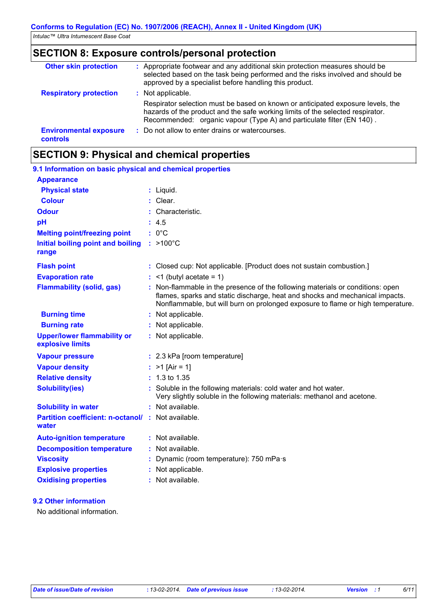# **SECTION 8: Exposure controls/personal protection**

| <b>Other skin protection</b>              | : Appropriate footwear and any additional skin protection measures should be<br>selected based on the task being performed and the risks involved and should be<br>approved by a specialist before handling this product.                                       |
|-------------------------------------------|-----------------------------------------------------------------------------------------------------------------------------------------------------------------------------------------------------------------------------------------------------------------|
| <b>Respiratory protection</b>             | : Not applicable.<br>Respirator selection must be based on known or anticipated exposure levels, the<br>hazards of the product and the safe working limits of the selected respirator.<br>Recommended: organic vapour (Type A) and particulate filter (EN 140). |
| <b>Environmental exposure</b><br>controls | : Do not allow to enter drains or watercourses.                                                                                                                                                                                                                 |

# **SECTION 9: Physical and chemical properties**

| 9.1 Information on basic physical and chemical properties   |                                                                                                                                                                                                                                                   |
|-------------------------------------------------------------|---------------------------------------------------------------------------------------------------------------------------------------------------------------------------------------------------------------------------------------------------|
| <b>Appearance</b>                                           |                                                                                                                                                                                                                                                   |
| <b>Physical state</b>                                       | : Liquid.                                                                                                                                                                                                                                         |
| <b>Colour</b>                                               | $:$ Clear.                                                                                                                                                                                                                                        |
| <b>Odour</b>                                                | : Characteristic.                                                                                                                                                                                                                                 |
| pH                                                          | : 4.5                                                                                                                                                                                                                                             |
| <b>Melting point/freezing point</b>                         | $: 0^{\circ}C$                                                                                                                                                                                                                                    |
| <b>Initial boiling point and boiling</b><br>range           | $:$ >100 $^{\circ}$ C                                                                                                                                                                                                                             |
| <b>Flash point</b>                                          | : Closed cup: Not applicable. [Product does not sustain combustion.]                                                                                                                                                                              |
| <b>Evaporation rate</b>                                     | $:$ <1 (butyl acetate = 1)                                                                                                                                                                                                                        |
| <b>Flammability (solid, gas)</b>                            | : Non-flammable in the presence of the following materials or conditions: open<br>flames, sparks and static discharge, heat and shocks and mechanical impacts.<br>Nonflammable, but will burn on prolonged exposure to flame or high temperature. |
| <b>Burning time</b>                                         | : Not applicable.                                                                                                                                                                                                                                 |
| <b>Burning rate</b>                                         | : Not applicable.                                                                                                                                                                                                                                 |
| <b>Upper/lower flammability or</b><br>explosive limits      | : Not applicable.                                                                                                                                                                                                                                 |
| <b>Vapour pressure</b>                                      | : 2.3 kPa [room temperature]                                                                                                                                                                                                                      |
| <b>Vapour density</b>                                       | : $>1$ [Air = 1]                                                                                                                                                                                                                                  |
| <b>Relative density</b>                                     | $: 1.3 \text{ to } 1.35$                                                                                                                                                                                                                          |
| <b>Solubility(ies)</b>                                      | : Soluble in the following materials: cold water and hot water.<br>Very slightly soluble in the following materials: methanol and acetone.                                                                                                        |
| <b>Solubility in water</b>                                  | : Not available.                                                                                                                                                                                                                                  |
| Partition coefficient: n-octanol/ : Not available.<br>water |                                                                                                                                                                                                                                                   |
| <b>Auto-ignition temperature</b>                            | : Not available.                                                                                                                                                                                                                                  |
| <b>Decomposition temperature</b>                            | : Not available.                                                                                                                                                                                                                                  |
| <b>Viscosity</b>                                            | : Dynamic (room temperature): 750 mPa·s                                                                                                                                                                                                           |
| <b>Explosive properties</b>                                 | : Not applicable.                                                                                                                                                                                                                                 |
| <b>Oxidising properties</b>                                 | : Not available.                                                                                                                                                                                                                                  |
|                                                             |                                                                                                                                                                                                                                                   |

#### **9.2 Other information**

No additional information.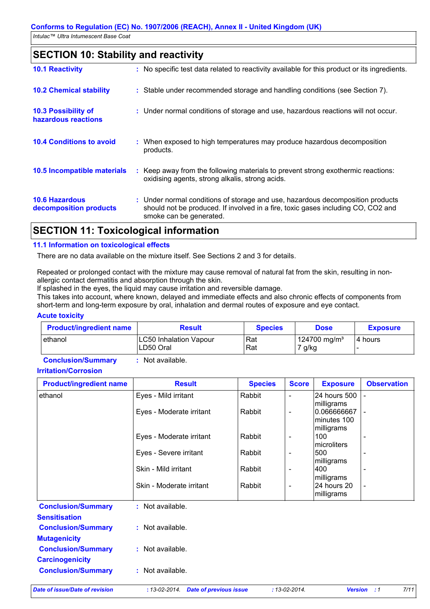# **SECTION 10: Stability and reactivity**

| <b>10.1 Reactivity</b>                          | : No specific test data related to reactivity available for this product or its ingredients.                                                                                                  |
|-------------------------------------------------|-----------------------------------------------------------------------------------------------------------------------------------------------------------------------------------------------|
| <b>10.2 Chemical stability</b>                  | : Stable under recommended storage and handling conditions (see Section 7).                                                                                                                   |
| 10.3 Possibility of<br>hazardous reactions      | : Under normal conditions of storage and use, hazardous reactions will not occur.                                                                                                             |
| <b>10.4 Conditions to avoid</b>                 | : When exposed to high temperatures may produce hazardous decomposition<br>products.                                                                                                          |
| 10.5 Incompatible materials                     | : Keep away from the following materials to prevent strong exothermic reactions:<br>oxidising agents, strong alkalis, strong acids.                                                           |
| <b>10.6 Hazardous</b><br>decomposition products | : Under normal conditions of storage and use, hazardous decomposition products<br>should not be produced. If involved in a fire, toxic gases including CO, CO2 and<br>smoke can be generated. |
|                                                 |                                                                                                                                                                                               |

## **SECTION 11: Toxicological information**

## **11.1 Information on toxicological effects**

There are no data available on the mixture itself. See Sections 2 and 3 for details.

Repeated or prolonged contact with the mixture may cause removal of natural fat from the skin, resulting in nonallergic contact dermatitis and absorption through the skin.

If splashed in the eyes, the liquid may cause irritation and reversible damage.

This takes into account, where known, delayed and immediate effects and also chronic effects of components from short-term and long-term exposure by oral, inhalation and dermal routes of exposure and eye contact.

#### **Acute toxicity**

| <b>Product/ingredient name</b> | <b>Result</b>                              | <b>Species</b> | Dose                              | <b>Exposure</b> |
|--------------------------------|--------------------------------------------|----------------|-----------------------------------|-----------------|
| l ethanol                      | <b>LC50 Inhalation Vapour</b><br>LD50 Oral | Rat<br>Rat     | 124700 mg/m <sup>3</sup><br>`g/kg | I4 hours        |

**Conclusion/Summary :** Not available.

#### **Irritation/Corrosion**

| <b>Product/ingredient name</b>                    | <b>Result</b>            | <b>Species</b> | <b>Score</b>             | <b>Exposure</b>                          | <b>Observation</b> |
|---------------------------------------------------|--------------------------|----------------|--------------------------|------------------------------------------|--------------------|
| ethanol                                           | Eyes - Mild irritant     | Rabbit         | $\blacksquare$           | 24 hours 500                             |                    |
|                                                   | Eyes - Moderate irritant | Rabbit         | $\overline{\phantom{a}}$ | milligrams<br>0.066666667<br>minutes 100 |                    |
|                                                   | Eyes - Moderate irritant | Rabbit         | $\overline{\phantom{a}}$ | milligrams<br>100<br><b>Imicroliters</b> |                    |
|                                                   | Eyes - Severe irritant   | Rabbit         | $\qquad \qquad$          | 500<br>milligrams                        |                    |
|                                                   | Skin - Mild irritant     | Rabbit         | $\overline{\phantom{a}}$ | 400<br>milligrams                        |                    |
|                                                   | Skin - Moderate irritant | Rabbit         | $\qquad \qquad$          | 24 hours 20<br>milligrams                |                    |
| <b>Conclusion/Summary</b><br><b>Sensitisation</b> | : Not available.         |                |                          |                                          |                    |
| <b>Conclusion/Summary</b><br><b>Mutagenicity</b>  | : Not available.         |                |                          |                                          |                    |
| <b>Conclusion/Summary</b>                         | : Not available.         |                |                          |                                          |                    |

**Conclusion/Summary :** Not available.

**Carcinogenicity**

*Date of issue/Date of revision* **:** *13-02-2014. Date of previous issue : 13-02-2014. Version : 1 7/11*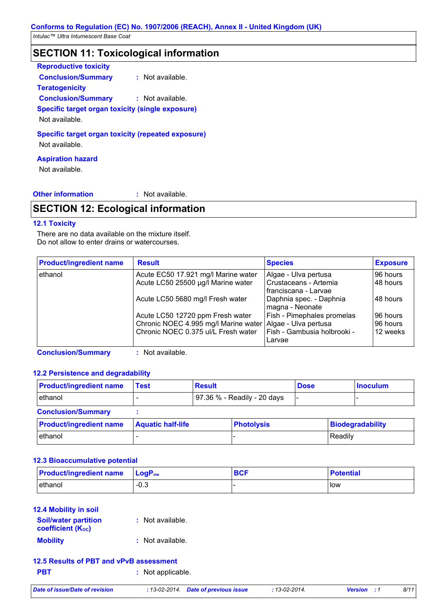# **SECTION 11: Toxicological information**

| <b>Reproductive toxicity</b>                                       |                  |  |
|--------------------------------------------------------------------|------------------|--|
| <b>Conclusion/Summary</b>                                          | : Not available. |  |
| <b>Teratogenicity</b>                                              |                  |  |
| <b>Conclusion/Summary</b>                                          | : Not available. |  |
| Specific target organ toxicity (single exposure)<br>Not available. |                  |  |
| <b>Specific target organ toxicity (repeated exposure)</b>          |                  |  |

Not available.

## **Aspiration hazard**

Not available.

**Other information :** : Not available.

# **SECTION 12: Ecological information**

#### **12.1 Toxicity**

There are no data available on the mixture itself. Do not allow to enter drains or watercourses.

| <b>Product/ingredient name</b> | <b>Result</b>                                               | <b>Species</b>              | <b>Exposure</b> |
|--------------------------------|-------------------------------------------------------------|-----------------------------|-----------------|
| ethanol                        | Acute EC50 17.921 mg/l Marine water                         | Algae - Ulva pertusa        | 96 hours        |
|                                | Acute LC50 25500 µg/l Marine water                          | Crustaceans - Artemia       | 48 hours        |
|                                |                                                             | franciscana - Larvae        |                 |
|                                | Acute LC50 5680 mg/l Fresh water                            | Daphnia spec. - Daphnia     | 148 hours       |
|                                |                                                             | magna - Neonate             |                 |
|                                | Acute LC50 12720 ppm Fresh water                            | Fish - Pimephales promelas  | 96 hours        |
|                                | Chronic NOEC 4.995 mg/l Marine water   Algae - Ulva pertusa |                             | 96 hours        |
|                                | Chronic NOEC 0.375 ul/L Fresh water                         | Fish - Gambusia holbrooki - | 12 weeks        |
|                                |                                                             | Larvae                      |                 |

**Conclusion/Summary :** Not available.

#### **12.2 Persistence and degradability**

| <b>Product/ingredient name</b> | <b>Test</b>              | <b>Result</b> |                             | <b>Dose</b> |         | <b>Inoculum</b>  |
|--------------------------------|--------------------------|---------------|-----------------------------|-------------|---------|------------------|
| ethanol                        |                          |               | 97.36 % - Readily - 20 days |             |         |                  |
| <b>Conclusion/Summary</b>      |                          |               |                             |             |         |                  |
| <b>Product/ingredient name</b> | <b>Aquatic half-life</b> |               | <b>Photolysis</b>           |             |         | Biodegradability |
| ethanol                        |                          |               |                             |             | Readily |                  |

#### **12.3 Bioaccumulative potential**

| <b>Product/ingredient name</b> | <b>⊥LoɑP</b> ow | DOP | <b>Potential</b> |
|--------------------------------|-----------------|-----|------------------|
| ethanol                        | -0.3            |     | low              |

## **12.4 Mobility in soil**

| <b>Soil/water partition</b><br><b>coefficient (Koc)</b> | : Not available. |
|---------------------------------------------------------|------------------|
| <b>Mobility</b>                                         | : Not available. |

## **12.5 Results of PBT and vPvB assessment**

**PBT :** Not applicable.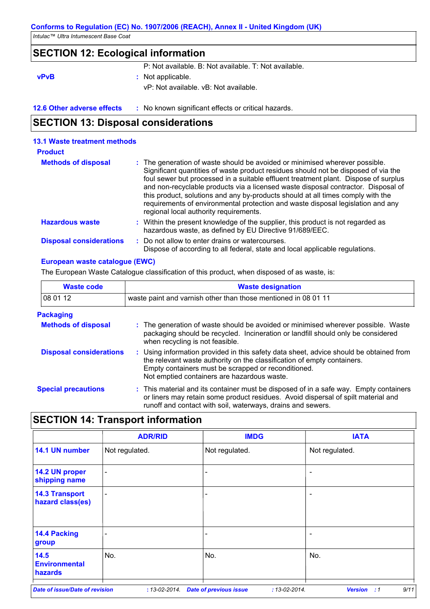## **SECTION 12: Ecological information**

P: Not available. B: Not available. T: Not available.

# **vPvB :** Not applicable.

vP: Not available. vB: Not available.

**12.6 Other adverse effects** : No known significant effects or critical hazards.

## **SECTION 13: Disposal considerations**

#### Within the present knowledge of the supplier, this product is not regarded as hazardous waste, as defined by EU Directive 91/689/EEC. **Hazardous waste : Methods of disposal : 13.1 Waste treatment methods Product** The generation of waste should be avoided or minimised wherever possible. Significant quantities of waste product residues should not be disposed of via the foul sewer but processed in a suitable effluent treatment plant. Dispose of surplus and non-recyclable products via a licensed waste disposal contractor. Disposal of this product, solutions and any by-products should at all times comply with the requirements of environmental protection and waste disposal legislation and any regional local authority requirements. : Do not allow to enter drains or watercourses. Dispose of according to all federal, state and local applicable regulations. **Disposal considerations :**

## **European waste catalogue (EWC)**

The European Waste Catalogue classification of this product, when disposed of as waste, is:

| <b>Waste code</b>              | <b>Waste designation</b>                                                                                                                                                                                                                                                |  |  |  |  |
|--------------------------------|-------------------------------------------------------------------------------------------------------------------------------------------------------------------------------------------------------------------------------------------------------------------------|--|--|--|--|
| 08 01 12                       | waste paint and varnish other than those mentioned in 08 01 11                                                                                                                                                                                                          |  |  |  |  |
| <b>Packaging</b>               |                                                                                                                                                                                                                                                                         |  |  |  |  |
| <b>Methods of disposal</b>     | : The generation of waste should be avoided or minimised wherever possible. Waste<br>packaging should be recycled. Incineration or landfill should only be considered<br>when recycling is not feasible.                                                                |  |  |  |  |
| <b>Disposal considerations</b> | : Using information provided in this safety data sheet, advice should be obtained from<br>the relevant waste authority on the classification of empty containers.<br>Empty containers must be scrapped or reconditioned.<br>Not emptied containers are hazardous waste. |  |  |  |  |
| <b>Special precautions</b>     | : This material and its container must be disposed of in a safe way. Empty containers<br>or liners may retain some product residues. Avoid dispersal of spilt material and<br>runoff and contact with soil, waterways, drains and sewers.                               |  |  |  |  |

## **SECTION 14: Transport information**

|                                           | <b>ADR/RID</b>           | <b>IMDG</b>    | <b>IATA</b>              |  |
|-------------------------------------------|--------------------------|----------------|--------------------------|--|
| 14.1 UN number                            | Not regulated.           | Not regulated. | Not regulated.           |  |
| 14.2 UN proper<br>shipping name           | $\overline{\phantom{a}}$ |                | $\overline{\phantom{a}}$ |  |
| <b>14.3 Transport</b><br>hazard class(es) | -                        | -              | $\overline{\phantom{a}}$ |  |
| <b>14.4 Packing</b><br>group              | -                        | ۰              | $\overline{\phantom{a}}$ |  |
| 14.5<br><b>Environmental</b><br>hazards   | No.                      | No.            | No.                      |  |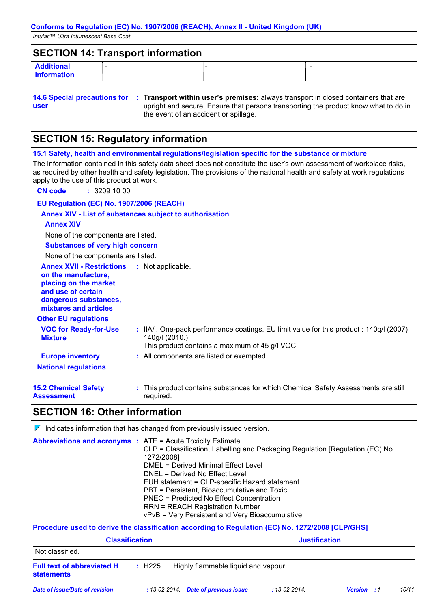## **SECTION 14: Transport information**

| <b>Additional</b> |  |  |
|-------------------|--|--|
| information       |  |  |

```
user
```
**14.6 Special precautions for : Transport within user's premises:** always transport in closed containers that are upright and secure. Ensure that persons transporting the product know what to do in the event of an accident or spillage.

# **SECTION 15: Regulatory information**

**15.1 Safety, health and environmental regulations/legislation specific for the substance or mixture** The information contained in this safety data sheet does not constitute the user's own assessment of workplace risks,

as required by other health and safety legislation. The provisions of the national health and safety at work regulations apply to the use of this product at work.

**CN code :** 3209 10 00

#### **EU Regulation (EC) No. 1907/2006 (REACH)**

## **Annex XIV - List of substances subject to authorisation**

#### **Annex XIV**

None of the components are listed.

**Substances of very high concern**

None of the components are listed.

| None of the components are listed.                                                                                                                       |                                                                                                                                                             |
|----------------------------------------------------------------------------------------------------------------------------------------------------------|-------------------------------------------------------------------------------------------------------------------------------------------------------------|
| <b>Annex XVII - Restrictions</b><br>on the manufacture,<br>placing on the market<br>and use of certain<br>dangerous substances,<br>mixtures and articles | : Not applicable.                                                                                                                                           |
| <b>Other EU regulations</b>                                                                                                                              |                                                                                                                                                             |
| <b>VOC for Ready-for-Use</b><br><b>Mixture</b>                                                                                                           | : IIA/i. One-pack performance coatings. EU limit value for this product : 140g/l (2007)<br>140g/l (2010.)<br>This product contains a maximum of 45 g/l VOC. |
| <b>Europe inventory</b>                                                                                                                                  | : All components are listed or exempted.                                                                                                                    |
| <b>National regulations</b>                                                                                                                              |                                                                                                                                                             |
| <b>15.2 Chemical Safety</b><br>Assessment                                                                                                                | : This product contains substances for which Chemical Safety Assessments are still<br>required.                                                             |

## **SECTION 16: Other information**

 $\nabla$  Indicates information that has changed from previously issued version.

| <b>Abbreviations and acronyms : ATE = Acute Toxicity Estimate</b> |                                                                               |
|-------------------------------------------------------------------|-------------------------------------------------------------------------------|
|                                                                   | CLP = Classification, Labelling and Packaging Regulation [Regulation (EC) No. |
|                                                                   | 1272/2008]                                                                    |
|                                                                   | DMEL = Derived Minimal Effect Level                                           |
|                                                                   | DNEL = Derived No Effect Level                                                |
|                                                                   | EUH statement = CLP-specific Hazard statement                                 |
|                                                                   | PBT = Persistent, Bioaccumulative and Toxic                                   |
|                                                                   | PNEC = Predicted No Effect Concentration                                      |
|                                                                   | <b>RRN = REACH Registration Number</b>                                        |
|                                                                   | vPvB = Very Persistent and Very Bioaccumulative                               |

#### **Procedure used to derive the classification according to Regulation (EC) No. 1272/2008 [CLP/GHS]**

| <b>Classification</b>                                  |            |                                      | <b>Justification</b> |                     |                    |  |       |
|--------------------------------------------------------|------------|--------------------------------------|----------------------|---------------------|--------------------|--|-------|
| Not classified.                                        |            |                                      |                      |                     |                    |  |       |
| <b>Full text of abbreviated H</b><br><b>statements</b> | $\pm$ H225 | Highly flammable liquid and vapour.  |                      |                     |                    |  |       |
| Date of issue/Date of revision                         |            | : 13-02-2014. Date of previous issue |                      | $: 13 - 02 - 2014.$ | <b>Version</b> : 1 |  | 10/11 |